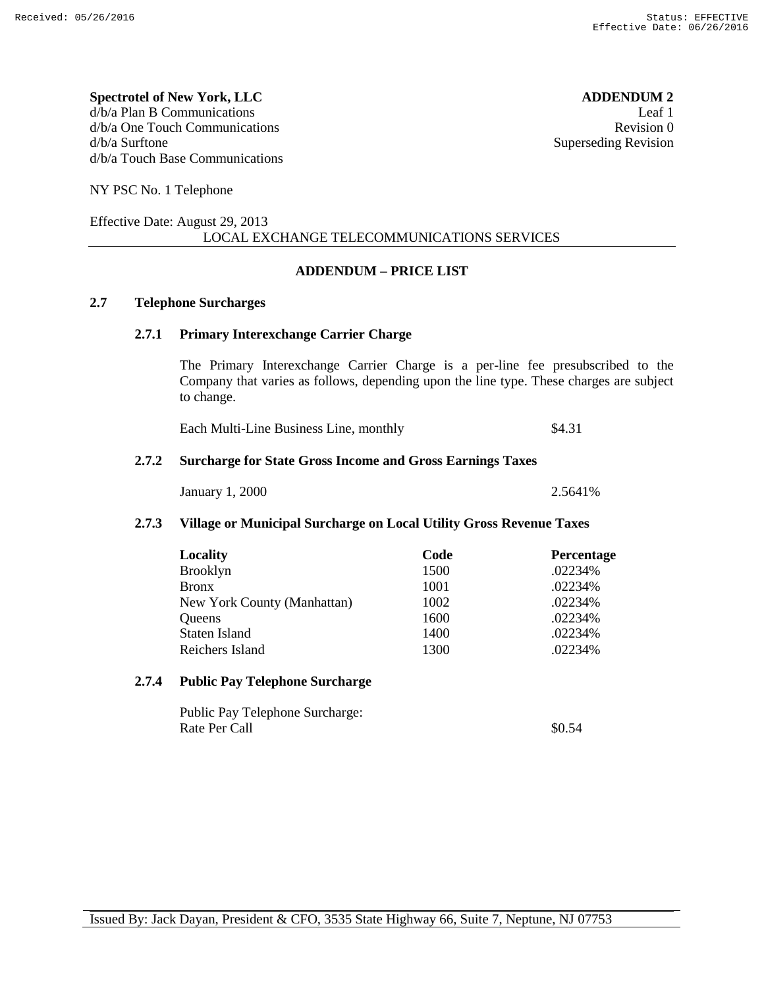**Spectrotel of New York, LLC ADDENDUM 2** d/b/a Plan B Communications Leaf 1 d/b/a One Touch Communications **Revision 0** d/b/a Surftone Superseding Revision d/b/a Touch Base Communications

NY PSC No. 1 Telephone

#### Effective Date: August 29, 2013 LOCAL EXCHANGE TELECOMMUNICATIONS SERVICES

#### **ADDENDUM – PRICE LIST**

### **2.7 Telephone Surcharges**

#### **2.7.1 Primary Interexchange Carrier Charge**

The Primary Interexchange Carrier Charge is a per-line fee presubscribed to the Company that varies as follows, depending upon the line type. These charges are subject to change.

Each Multi-Line Business Line, monthly \$4.31

#### **2.7.2 Surcharge for State Gross Income and Gross Earnings Taxes**

January 1

| ., 2000 |
|---------|
|---------|

#### **2.7.3 Village or Municipal Surcharge on Local Utility Gross Revenue Taxes**

| Locality                    | Code | Percentage |
|-----------------------------|------|------------|
| <b>Brooklyn</b>             | 1500 | .02234%    |
| <b>Bronx</b>                | 1001 | .02234%    |
| New York County (Manhattan) | 1002 | .02234%    |
| Queens                      | 1600 | .02234%    |
| Staten Island               | 1400 | .02234%    |
| Reichers Island             | 1300 | .02234%    |

#### **2.7.4 Public Pay Telephone Surcharge**

Public Pay Telephone Surcharge: Rate Per Call \$0.54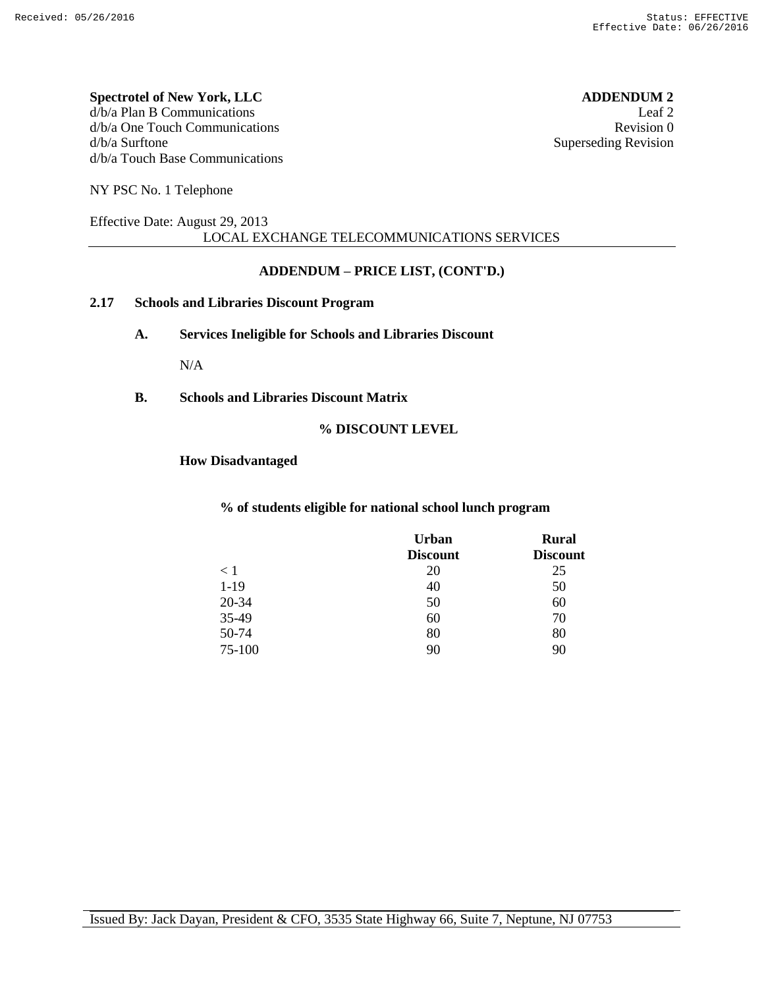#### **Spectrotel of New York, LLC ADDENDUM 2** d/b/a Plan B Communications Leaf 2 d/b/a One Touch Communications **Revision** 0 d/b/a Surftone Superseding Revision d/b/a Touch Base Communications

NY PSC No. 1 Telephone

#### Effective Date: August 29, 2013 LOCAL EXCHANGE TELECOMMUNICATIONS SERVICES

#### **ADDENDUM – PRICE LIST, (CONT'D.)**

#### **2.17 Schools and Libraries Discount Program**

**A. Services Ineligible for Schools and Libraries Discount**

N/A

**B. Schools and Libraries Discount Matrix**

#### **% DISCOUNT LEVEL**

#### **How Disadvantaged**

#### **% of students eligible for national school lunch program**

|        | <b>Urban</b><br><b>Discount</b> | <b>Rural</b><br><b>Discount</b> |
|--------|---------------------------------|---------------------------------|
| < 1    | 20                              | 25                              |
| $1-19$ | 40                              | 50                              |
| 20-34  | 50                              | 60                              |
| 35-49  | 60                              | 70                              |
| 50-74  | 80                              | 80                              |
| 75-100 | 90                              | 90                              |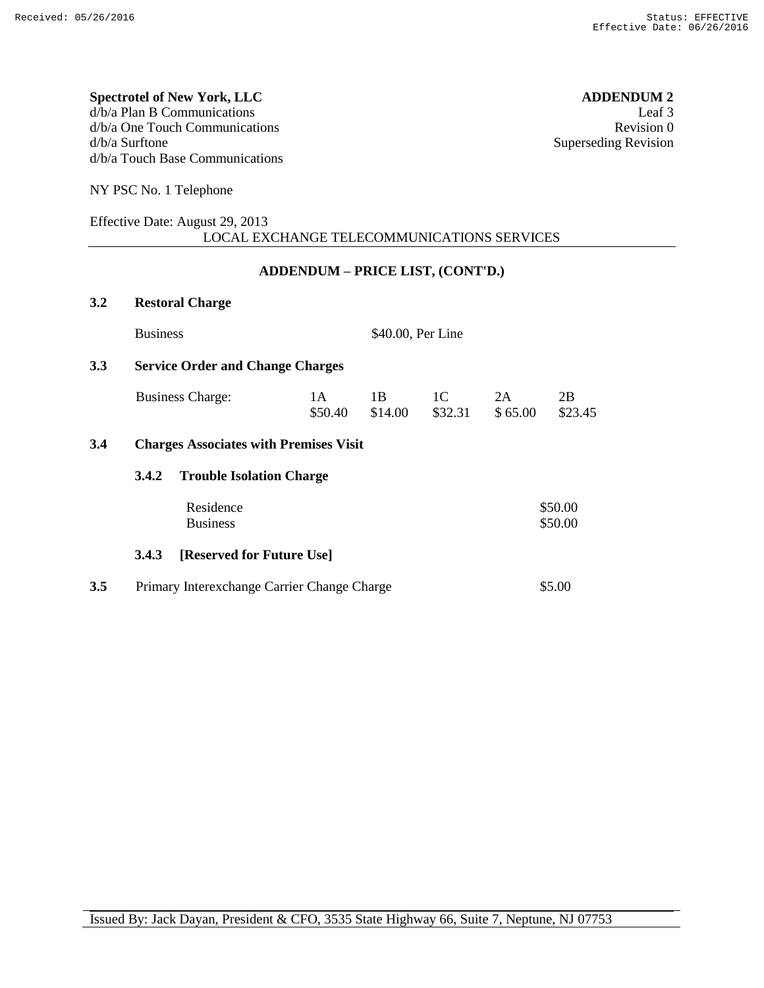#### **Spectrotel of New York, LLC ADDENDUM 2**  $d/b/a$  Plan B Communications Leaf 3<br> $d/b/a$  One Touch Communications Revision 0  $d/b/a$  One Touch Communications d/b/a Surftone Superseding Revision d/b/a Touch Base Communications

NY PSC No. 1 Telephone

#### Effective Date: August 29, 2013 LOCAL EXCHANGE TELECOMMUNICATIONS SERVICES

### **ADDENDUM – PRICE LIST, (CONT'D.)**

| 3.2 | <b>Restoral Charge</b>       |                                               |                   |               |               |                    |
|-----|------------------------------|-----------------------------------------------|-------------------|---------------|---------------|--------------------|
|     | <b>Business</b>              |                                               | \$40.00, Per Line |               |               |                    |
| 3.3 |                              | <b>Service Order and Change Charges</b>       |                   |               |               |                    |
|     | <b>Business Charge:</b>      | 1 A<br>\$50.40                                | 1 B<br>\$14.00    | 1C<br>\$32.31 | 2A<br>\$65.00 | 2B<br>\$23.45      |
| 3.4 |                              | <b>Charges Associates with Premises Visit</b> |                   |               |               |                    |
|     | 3.4.2                        | <b>Trouble Isolation Charge</b>               |                   |               |               |                    |
|     | Residence<br><b>Business</b> |                                               |                   |               |               | \$50.00<br>\$50.00 |
|     | 3.4.3                        | [Reserved for Future Use]                     |                   |               |               |                    |
| 3.5 |                              | Primary Interexchange Carrier Change Charge   |                   |               |               | \$5.00             |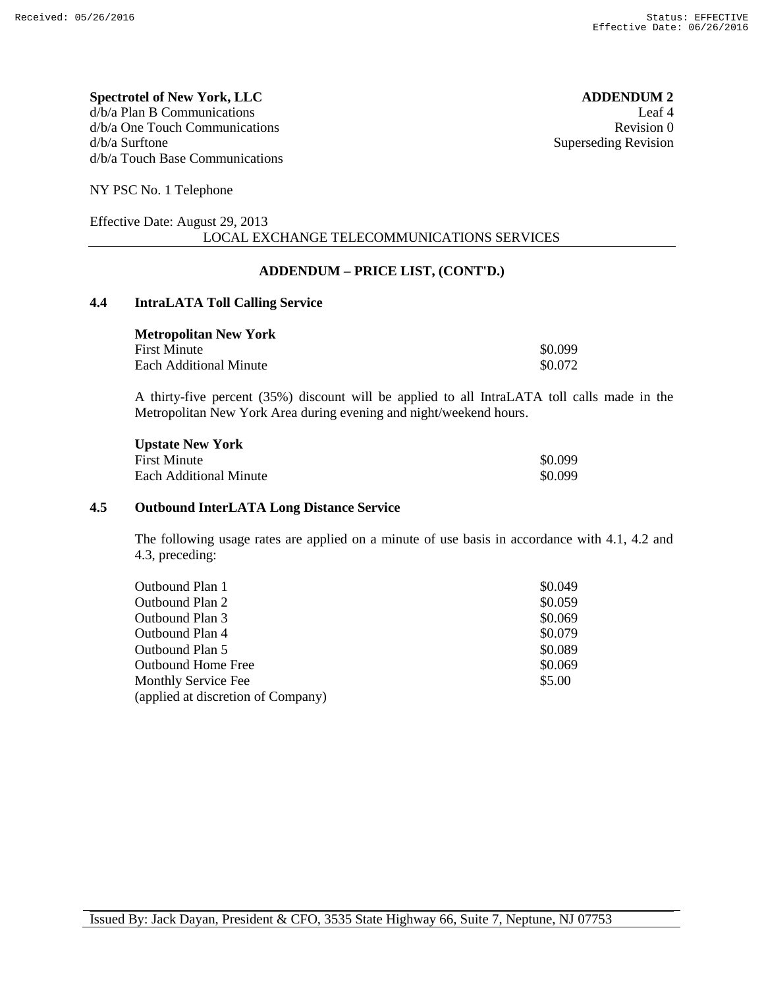#### **Spectrotel of New York, LLC ADDENDUM 2** d/b/a Plan B Communications Leaf 4 d/b/a One Touch Communications **Revision 0** d/b/a Surftone Superseding Revision d/b/a Touch Base Communications

NY PSC No. 1 Telephone

#### Effective Date: August 29, 2013 LOCAL EXCHANGE TELECOMMUNICATIONS SERVICES

### **ADDENDUM – PRICE LIST, (CONT'D.)**

### **4.4 IntraLATA Toll Calling Service**

| <b>Metropolitan New York</b> |         |
|------------------------------|---------|
| <b>First Minute</b>          | \$0.099 |
| Each Additional Minute       | \$0.072 |

A thirty-five percent (35%) discount will be applied to all IntraLATA toll calls made in the Metropolitan New York Area during evening and night/weekend hours.

| <b>Upstate New York</b> |         |
|-------------------------|---------|
| <b>First Minute</b>     | \$0.099 |
| Each Additional Minute  | \$0.099 |

#### **4.5 Outbound InterLATA Long Distance Service**

The following usage rates are applied on a minute of use basis in accordance with 4.1, 4.2 and 4.3, preceding:

| Outbound Plan 1                    | \$0.049 |
|------------------------------------|---------|
| Outbound Plan 2                    | \$0.059 |
| Outbound Plan 3                    | \$0.069 |
| Outbound Plan 4                    | \$0.079 |
| Outbound Plan 5                    | \$0.089 |
| <b>Outbound Home Free</b>          | \$0.069 |
| <b>Monthly Service Fee</b>         | \$5.00  |
| (applied at discretion of Company) |         |
|                                    |         |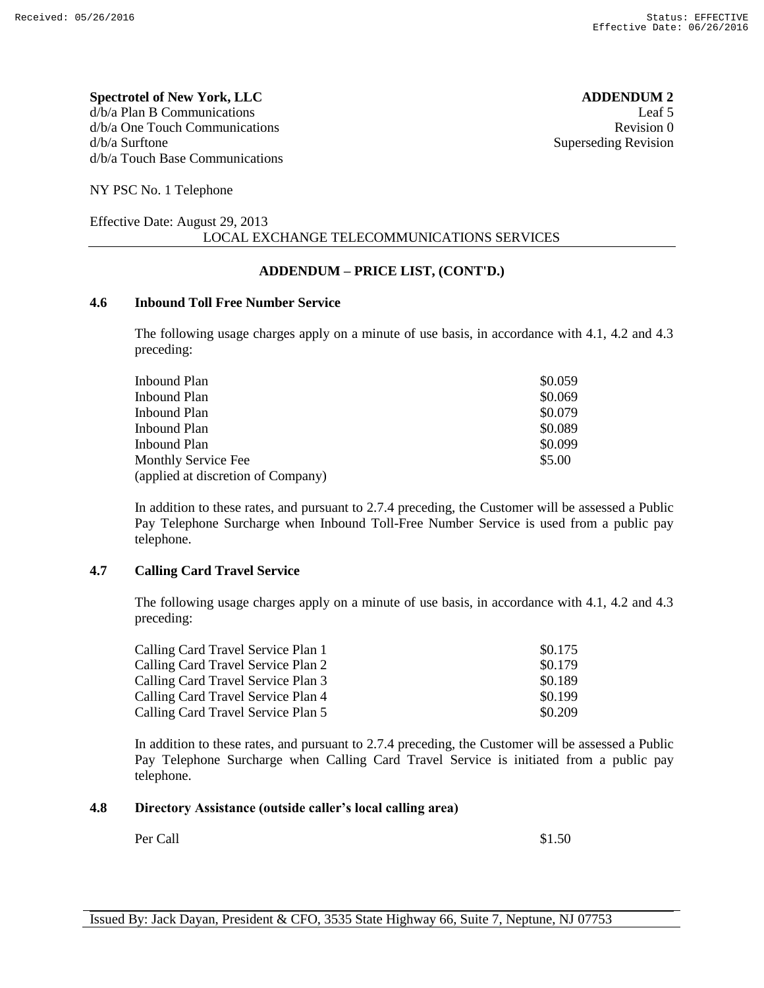**Spectrotel of New York, LLC ADDENDUM 2** d/b/a Plan B Communications Leaf 5 d/b/a One Touch Communications **Revision 0** d/b/a Surftone Superseding Revision d/b/a Touch Base Communications

NY PSC No. 1 Telephone

#### Effective Date: August 29, 2013 LOCAL EXCHANGE TELECOMMUNICATIONS SERVICES

### **ADDENDUM – PRICE LIST, (CONT'D.)**

#### **4.6 Inbound Toll Free Number Service**

The following usage charges apply on a minute of use basis, in accordance with 4.1, 4.2 and 4.3 preceding:

| Inbound Plan                       | \$0.059 |
|------------------------------------|---------|
| Inbound Plan                       | \$0.069 |
| Inbound Plan                       | \$0.079 |
| Inbound Plan                       | \$0.089 |
| Inbound Plan                       | \$0.099 |
| <b>Monthly Service Fee</b>         | \$5.00  |
| (applied at discretion of Company) |         |

In addition to these rates, and pursuant to 2.7.4 preceding, the Customer will be assessed a Public Pay Telephone Surcharge when Inbound Toll-Free Number Service is used from a public pay telephone.

#### **4.7 Calling Card Travel Service**

The following usage charges apply on a minute of use basis, in accordance with 4.1, 4.2 and 4.3 preceding:

| Calling Card Travel Service Plan 1 | \$0.175 |
|------------------------------------|---------|
| Calling Card Travel Service Plan 2 | \$0.179 |
| Calling Card Travel Service Plan 3 | \$0.189 |
| Calling Card Travel Service Plan 4 | \$0.199 |
| Calling Card Travel Service Plan 5 | \$0.209 |

In addition to these rates, and pursuant to 2.7.4 preceding, the Customer will be assessed a Public Pay Telephone Surcharge when Calling Card Travel Service is initiated from a public pay telephone.

#### **4.8 Directory Assistance (outside caller's local calling area)**

Per Call  $$1.50$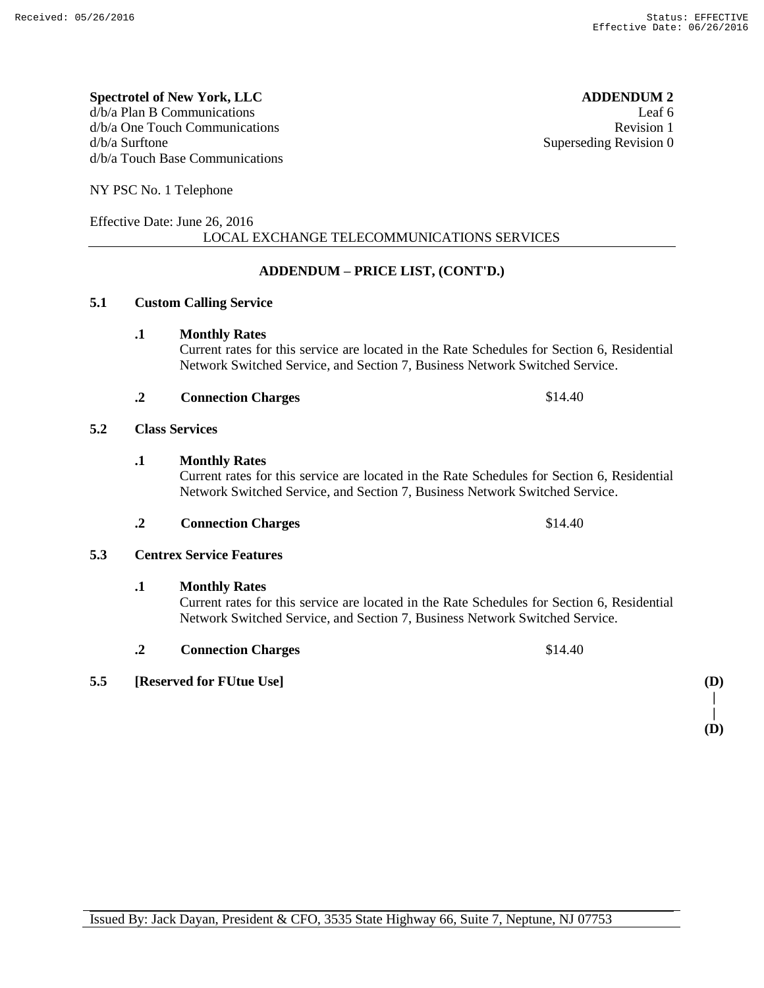#### **Spectrotel of New York, LLC ADDENDUM 2** d/b/a Plan B Communications Leaf 6 d/b/a One Touch Communications and the set of the set of the Revision 1 and the Revision 1 d/b/a Surftone Superseding Revision 0 d/b/a Touch Base Communications

NY PSC No. 1 Telephone

### Effective Date: June 26, 2016 LOCAL EXCHANGE TELECOMMUNICATIONS SERVICES

# **ADDENDUM – PRICE LIST, (CONT'D.)**

# **5.1 Custom Calling Service**

### **.1 Monthly Rates**

Current rates for this service are located in the Rate Schedules for Section 6, Residential Network Switched Service, and Section 7, Business Network Switched Service.

### **.2 Connection Charges** \$14.40

### **5.2 Class Services**

# **.1 Monthly Rates**

Current rates for this service are located in the Rate Schedules for Section 6, Residential Network Switched Service, and Section 7, Business Network Switched Service.

### **.2 Connection Charges** \$14.40

# **5.3 Centrex Service Features**

**.1 Monthly Rates**

Current rates for this service are located in the Rate Schedules for Section 6, Residential Network Switched Service, and Section 7, Business Network Switched Service.

**.2 Connection Charges** \$14.40

# **5.5 [Reserved for FUtue Use] (D)**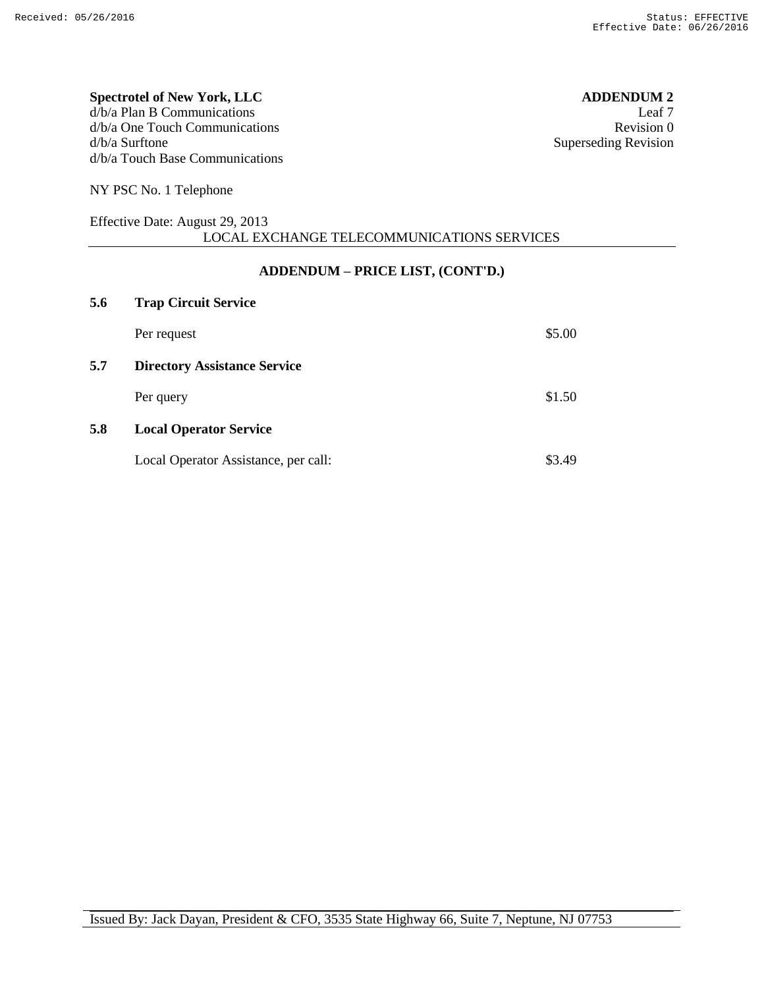#### **Spectrotel of New York, LLC ADDENDUM 2**  $d/b/a$  Plan B Communications Leaf 7<br> $d/b/a$  One Touch Communications Revision 0  $d/b/a$  One Touch Communications d/b/a Surftone Superseding Revision d/b/a Touch Base Communications

NY PSC No. 1 Telephone

#### Effective Date: August 29, 2013 LOCAL EXCHANGE TELECOMMUNICATIONS SERVICES

### **ADDENDUM – PRICE LIST, (CONT'D.)**

| 5.6 | <b>Trap Circuit Service</b>          |        |
|-----|--------------------------------------|--------|
|     | Per request                          | \$5.00 |
| 5.7 | <b>Directory Assistance Service</b>  |        |
|     | Per query                            | \$1.50 |
| 5.8 | <b>Local Operator Service</b>        |        |
|     | Local Operator Assistance, per call: | \$3.49 |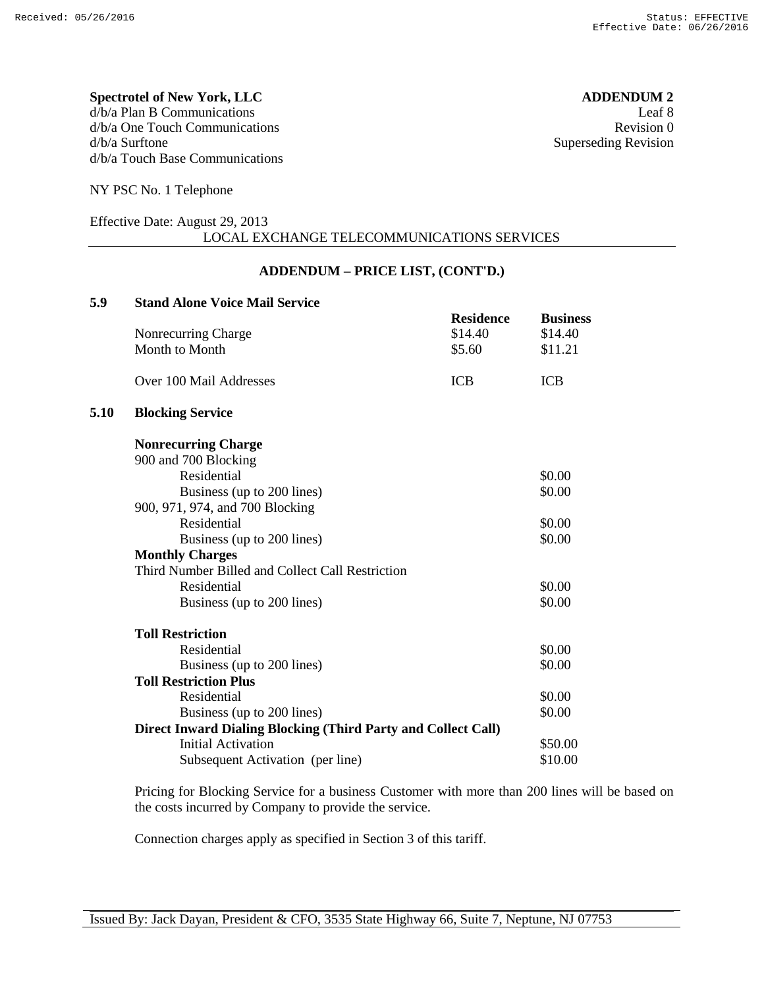#### **Spectrotel of New York, LLC ADDENDUM 2** d/b/a Plan B Communications Leaf 8 d/b/a One Touch Communications Revision 0 d/b/a Surftone Superseding Revision d/b/a Touch Base Communications

NY PSC No. 1 Telephone

#### Effective Date: August 29, 2013 LOCAL EXCHANGE TELECOMMUNICATIONS SERVICES

### **ADDENDUM – PRICE LIST, (CONT'D.)**

| 5.9  | <b>Stand Alone Voice Mail Service</b>                                |                  |                 |
|------|----------------------------------------------------------------------|------------------|-----------------|
|      |                                                                      | <b>Residence</b> | <b>Business</b> |
|      | Nonrecurring Charge                                                  | \$14.40          | \$14.40         |
|      | Month to Month                                                       | \$5.60           | \$11.21         |
|      | Over 100 Mail Addresses<br><b>ICB</b>                                |                  | <b>ICB</b>      |
| 5.10 | <b>Blocking Service</b>                                              |                  |                 |
|      | <b>Nonrecurring Charge</b>                                           |                  |                 |
|      | 900 and 700 Blocking                                                 |                  |                 |
|      | Residential                                                          |                  | \$0.00          |
|      | Business (up to 200 lines)                                           |                  | \$0.00          |
|      | 900, 971, 974, and 700 Blocking                                      |                  |                 |
|      | Residential                                                          |                  | \$0.00          |
|      | Business (up to 200 lines)                                           |                  | \$0.00          |
|      | <b>Monthly Charges</b>                                               |                  |                 |
|      | Third Number Billed and Collect Call Restriction                     |                  |                 |
|      | Residential                                                          |                  | \$0.00          |
|      | Business (up to 200 lines)                                           |                  | \$0.00          |
|      | <b>Toll Restriction</b>                                              |                  |                 |
|      | Residential                                                          |                  | \$0.00          |
|      | Business (up to 200 lines)                                           |                  | \$0.00          |
|      | <b>Toll Restriction Plus</b>                                         |                  |                 |
|      | Residential                                                          |                  | \$0.00          |
|      | Business (up to 200 lines)                                           |                  | \$0.00          |
|      | <b>Direct Inward Dialing Blocking (Third Party and Collect Call)</b> |                  |                 |
|      | <b>Initial Activation</b>                                            |                  | \$50.00         |
|      | Subsequent Activation (per line)                                     |                  | \$10.00         |
|      |                                                                      |                  |                 |

Pricing for Blocking Service for a business Customer with more than 200 lines will be based on the costs incurred by Company to provide the service.

Connection charges apply as specified in Section 3 of this tariff.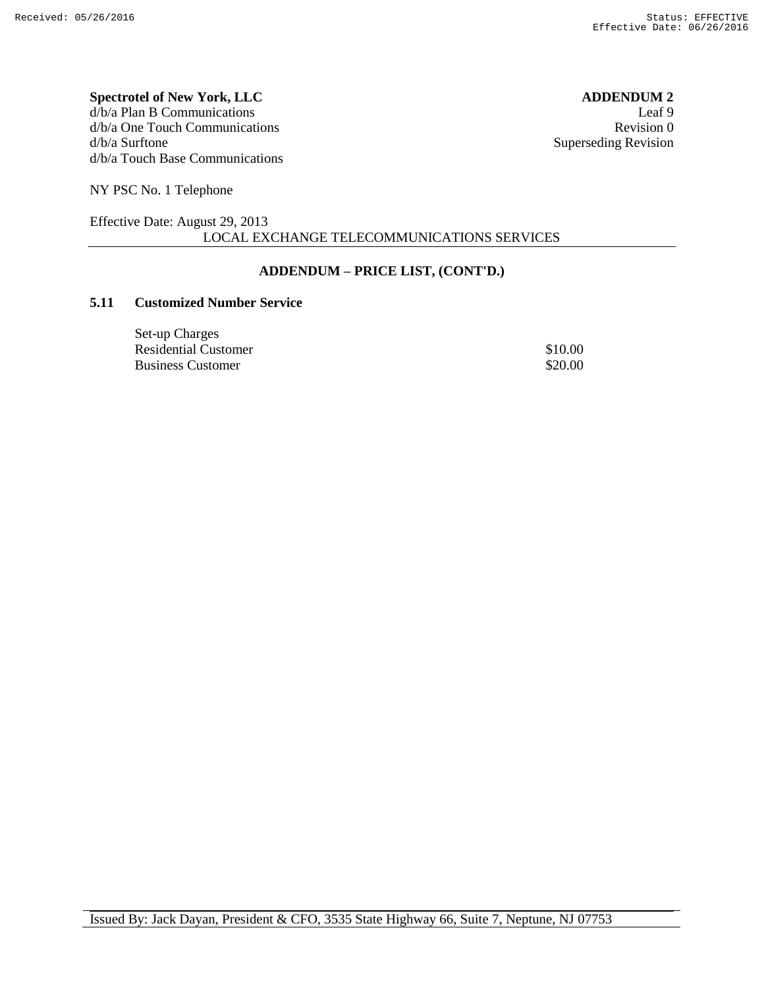# **Spectrotel of New York, LLC ADDENDUM 2**  $d/b/a$  Plan B Communications Leaf 9<br> $d/b/a$  One Touch Communications Revision 0  $d/b/a$  One Touch Communications

d/b/a Surftone Superseding Revision d/b/a Touch Base Communications

NY PSC No. 1 Telephone

#### Effective Date: August 29, 2013 LOCAL EXCHANGE TELECOMMUNICATIONS SERVICES

# **ADDENDUM – PRICE LIST, (CONT'D.)**

### **5.11 Customized Number Service**

| Set-up Charges       |         |
|----------------------|---------|
| Residential Customer | \$10.00 |
| Business Customer    | \$20.00 |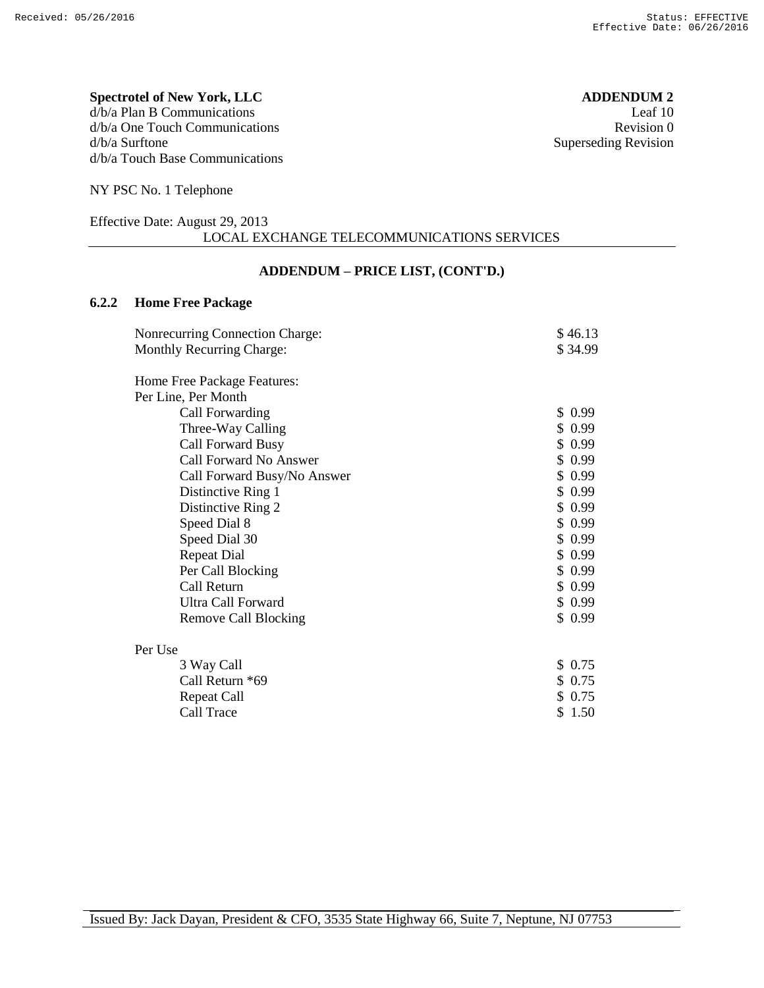### **Spectrotel of New York, LLC ADDENDUM 2** d/b/a Plan B Communications Leaf 10

d/b/a One Touch Communications Revision 0 d/b/a Surftone Superseding Revision d/b/a Touch Base Communications

NY PSC No. 1 Telephone

#### Effective Date: August 29, 2013 LOCAL EXCHANGE TELECOMMUNICATIONS SERVICES

### **ADDENDUM – PRICE LIST, (CONT'D.)**

## **6.2.2 Home Free Package**

| <b>Nonrecurring Connection Charge:</b> | \$46.13 |
|----------------------------------------|---------|
| Monthly Recurring Charge:              | \$34.99 |
|                                        |         |
| Home Free Package Features:            |         |
| Per Line, Per Month                    |         |
| Call Forwarding                        | \$0.99  |
| Three-Way Calling                      | \$0.99  |
| Call Forward Busy                      | \$0.99  |
| Call Forward No Answer                 | \$0.99  |
| Call Forward Busy/No Answer            | \$0.99  |
| Distinctive Ring 1                     | \$0.99  |
| Distinctive Ring 2                     | \$0.99  |
| Speed Dial 8                           | \$0.99  |
| Speed Dial 30                          | \$0.99  |
| <b>Repeat Dial</b>                     | \$0.99  |
| Per Call Blocking                      | \$0.99  |
| Call Return                            | \$0.99  |
| <b>Ultra Call Forward</b>              | \$0.99  |
| <b>Remove Call Blocking</b>            | \$0.99  |
| Per Use                                |         |
| 3 Way Call                             | \$0.75  |
| Call Return *69                        | \$0.75  |
| <b>Repeat Call</b>                     | \$0.75  |
| Call Trace                             | \$1.50  |
|                                        |         |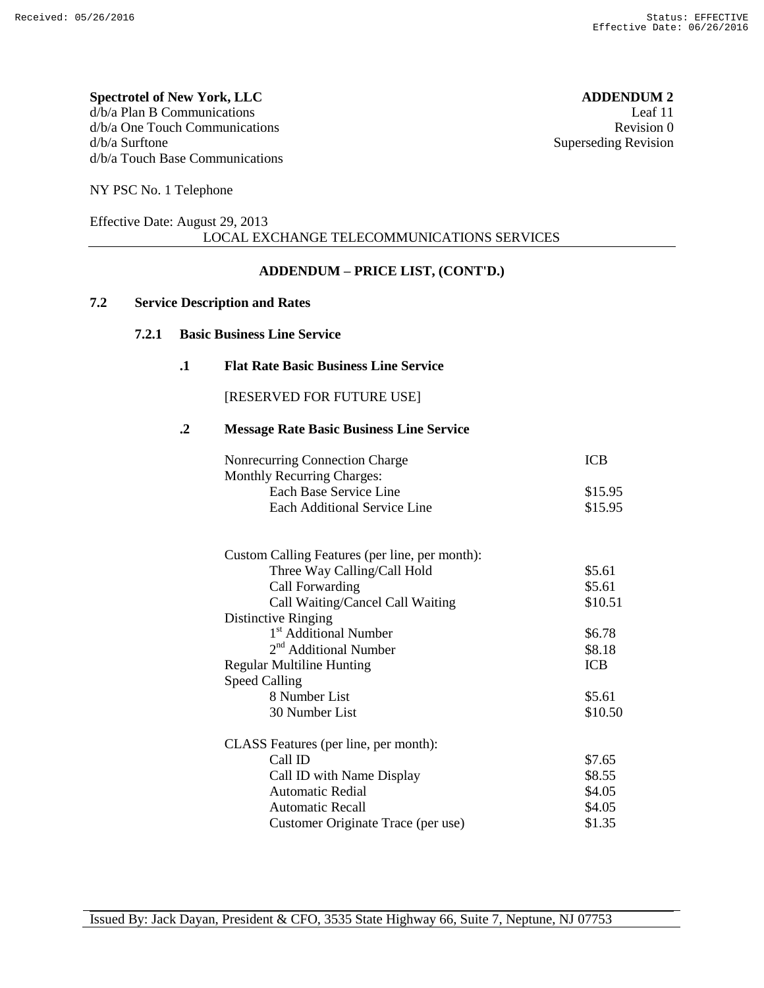#### **Spectrotel of New York, LLC ADDENDUM 2** d/b/a Plan B Communications Leaf 11 d/b/a One Touch Communications **Revision 0** and the set of the set of the set of the set of the set of the set of the set of the set of the set of the set of the set of the set of the set of the set of the set of the set o d/b/a Surftone Superseding Revision d/b/a Touch Base Communications

NY PSC No. 1 Telephone

#### Effective Date: August 29, 2013 LOCAL EXCHANGE TELECOMMUNICATIONS SERVICES

### **ADDENDUM – PRICE LIST, (CONT'D.)**

### **7.2 Service Description and Rates**

#### **7.2.1 Basic Business Line Service**

#### **.1 Flat Rate Basic Business Line Service**

[RESERVED FOR FUTURE USE]

#### **.2 Message Rate Basic Business Line Service**

| Nonrecurring Connection Charge                 | <b>ICB</b> |
|------------------------------------------------|------------|
| <b>Monthly Recurring Charges:</b>              |            |
| Each Base Service Line                         | \$15.95    |
| <b>Each Additional Service Line</b>            | \$15.95    |
| Custom Calling Features (per line, per month): |            |
| Three Way Calling/Call Hold                    | \$5.61     |
| Call Forwarding                                | \$5.61     |
| Call Waiting/Cancel Call Waiting               | \$10.51    |
| Distinctive Ringing                            |            |
| 1 <sup>st</sup> Additional Number              | \$6.78     |
| 2 <sup>nd</sup> Additional Number              | \$8.18     |
| <b>Regular Multiline Hunting</b>               | <b>ICB</b> |
| <b>Speed Calling</b>                           |            |
| 8 Number List                                  | \$5.61     |
| 30 Number List                                 | \$10.50    |
| CLASS Features (per line, per month):          |            |
| Call ID                                        | \$7.65     |
| Call ID with Name Display                      | \$8.55     |
| Automatic Redial                               | \$4.05     |
| <b>Automatic Recall</b>                        | \$4.05     |
| Customer Originate Trace (per use)             | \$1.35     |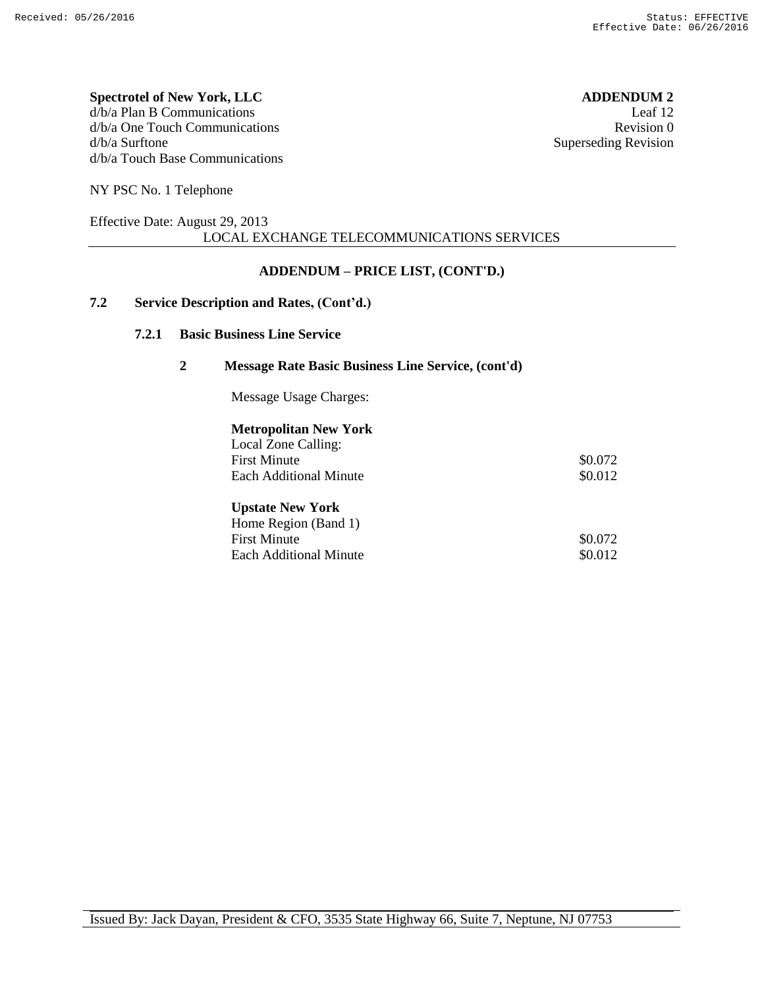#### **Spectrotel of New York, LLC ADDENDUM 2** d/b/a Plan B Communications Leaf 12 d/b/a One Touch Communications **Revision** 0 d/b/a Surftone Superseding Revision d/b/a Touch Base Communications

NY PSC No. 1 Telephone

#### Effective Date: August 29, 2013 LOCAL EXCHANGE TELECOMMUNICATIONS SERVICES

### **ADDENDUM – PRICE LIST, (CONT'D.)**

### **7.2 Service Description and Rates, (Cont'd.)**

#### **7.2.1 Basic Business Line Service**

#### **2 Message Rate Basic Business Line Service, (cont'd)**

Message Usage Charges:

#### **Metropolitan New York** Local Zone Calling:

| LOCAL ZOILE CALLINE.    |         |
|-------------------------|---------|
| <b>First Minute</b>     | \$0.072 |
| Each Additional Minute  | \$0.012 |
| <b>Upstate New York</b> |         |
| Home Region (Band 1)    |         |
| <b>First Minute</b>     | \$0.072 |

Each Additional Minute  $\$0.012$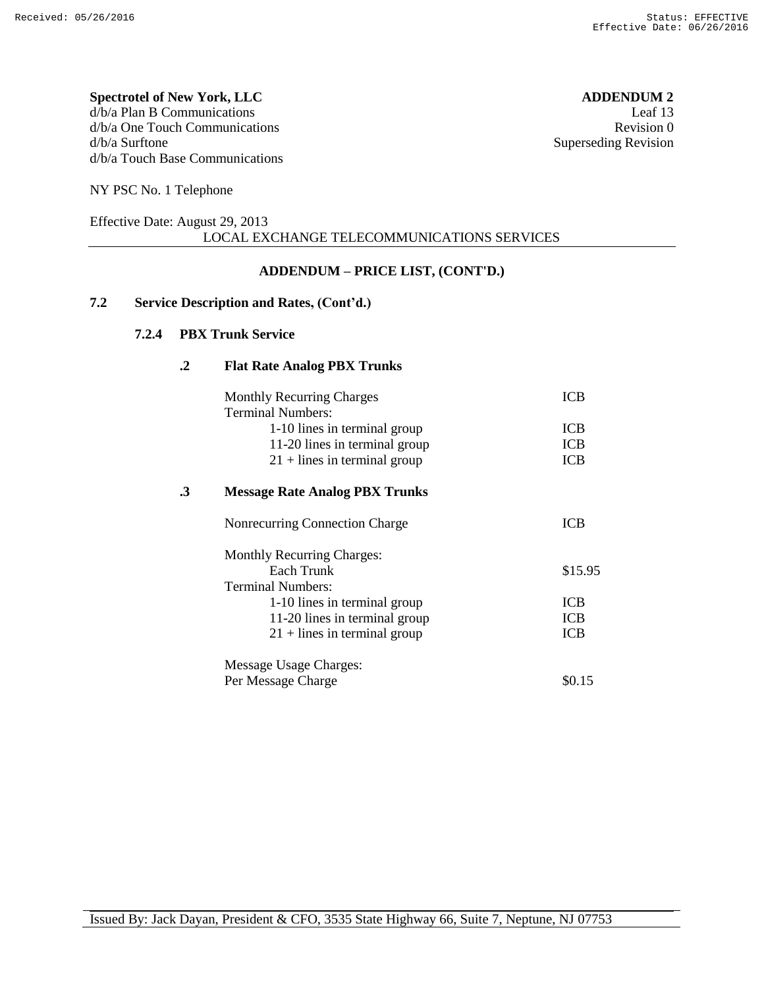#### **Spectrotel of New York, LLC ADDENDUM 2** d/b/a Plan B Communications Leaf 13 d/b/a One Touch Communications Revision 0 d/b/a Surftone Superseding Revision d/b/a Touch Base Communications

NY PSC No. 1 Telephone

#### Effective Date: August 29, 2013 LOCAL EXCHANGE TELECOMMUNICATIONS SERVICES

### **ADDENDUM – PRICE LIST, (CONT'D.)**

### **7.2 Service Description and Rates, (Cont'd.)**

#### **7.2.4 PBX Trunk Service**

#### **.2 Flat Rate Analog PBX Trunks**

|    | <b>Monthly Recurring Charges</b><br><b>Terminal Numbers:</b> | ICB        |
|----|--------------------------------------------------------------|------------|
|    | 1-10 lines in terminal group                                 | <b>ICB</b> |
|    | 11-20 lines in terminal group                                | <b>ICB</b> |
|    | $21 +$ lines in terminal group                               | <b>ICB</b> |
| .3 | <b>Message Rate Analog PBX Trunks</b>                        |            |
|    | Nonrecurring Connection Charge                               | ICB        |
|    | <b>Monthly Recurring Charges:</b>                            |            |
|    | Each Trunk                                                   | \$15.95    |
|    | Terminal Numbers:                                            |            |
|    | 1-10 lines in terminal group                                 | <b>ICB</b> |
|    | 11-20 lines in terminal group                                | <b>ICB</b> |
|    | $21 +$ lines in terminal group                               | <b>ICB</b> |
|    | Message Usage Charges:                                       |            |
|    | Per Message Charge                                           | \$0.15     |
|    |                                                              |            |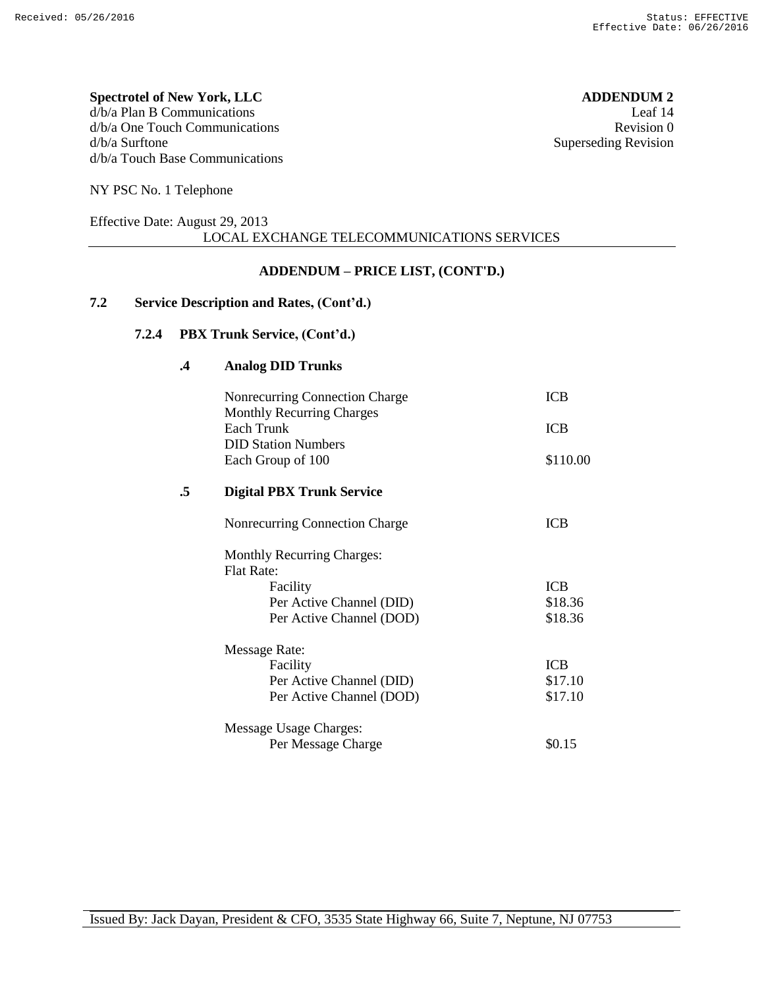#### **Spectrotel of New York, LLC ADDENDUM 2** d/b/a Plan B Communications Leaf 14 d/b/a One Touch Communications Revision 0 d/b/a Surftone Superseding Revision d/b/a Touch Base Communications

NY PSC No. 1 Telephone

#### Effective Date: August 29, 2013 LOCAL EXCHANGE TELECOMMUNICATIONS SERVICES

### **ADDENDUM – PRICE LIST, (CONT'D.)**

### **7.2 Service Description and Rates, (Cont'd.)**

### **7.2.4 PBX Trunk Service, (Cont'd.)**

#### **.4 Analog DID Trunks**

|    | Nonrecurring Connection Charge    | <b>ICB</b> |
|----|-----------------------------------|------------|
|    | <b>Monthly Recurring Charges</b>  |            |
|    | <b>Each Trunk</b>                 | <b>ICB</b> |
|    | <b>DID Station Numbers</b>        |            |
|    | Each Group of 100                 | \$110.00   |
| .5 | <b>Digital PBX Trunk Service</b>  |            |
|    | Nonrecurring Connection Charge    | <b>ICB</b> |
|    | <b>Monthly Recurring Charges:</b> |            |
|    | <b>Flat Rate:</b>                 |            |
|    | Facility                          | <b>ICB</b> |
|    | Per Active Channel (DID)          | \$18.36    |
|    | Per Active Channel (DOD)          | \$18.36    |
|    | <b>Message Rate:</b>              |            |
|    | Facility                          | <b>ICB</b> |
|    | Per Active Channel (DID)          | \$17.10    |
|    | Per Active Channel (DOD)          | \$17.10    |
|    | Message Usage Charges:            |            |
|    | Per Message Charge                | \$0.15     |
|    |                                   |            |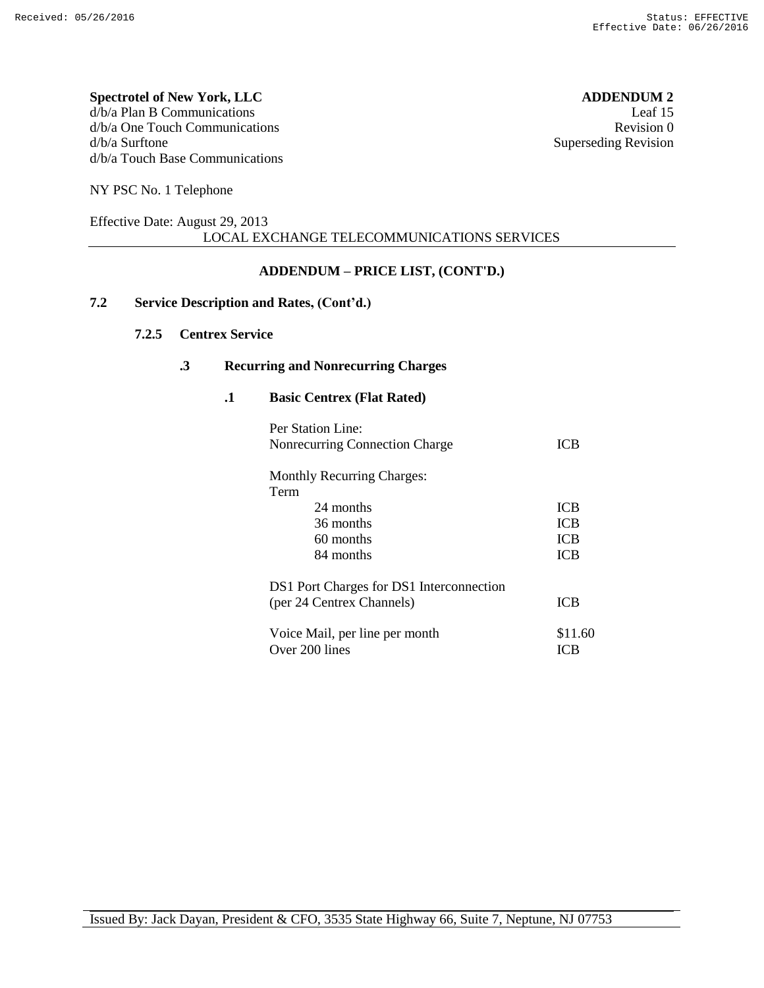#### **Spectrotel of New York, LLC ADDENDUM 2** d/b/a Plan B Communications Leaf 15 d/b/a One Touch Communications Revision 0 d/b/a Surftone Superseding Revision d/b/a Touch Base Communications

NY PSC No. 1 Telephone

#### Effective Date: August 29, 2013 LOCAL EXCHANGE TELECOMMUNICATIONS SERVICES

### **ADDENDUM – PRICE LIST, (CONT'D.)**

### **7.2 Service Description and Rates, (Cont'd.)**

#### **7.2.5 Centrex Service**

#### **.3 Recurring and Nonrecurring Charges**

**.1 Basic Centrex (Flat Rated)**

| Per Station Line:<br>Nonrecurring Connection Charge | ICB        |  |
|-----------------------------------------------------|------------|--|
| <b>Monthly Recurring Charges:</b>                   |            |  |
| Term                                                |            |  |
| 24 months                                           | <b>ICB</b> |  |
| 36 months                                           | <b>ICB</b> |  |
| 60 months                                           | <b>ICB</b> |  |
| 84 months                                           | <b>ICB</b> |  |
| DS1 Port Charges for DS1 Interconnection            |            |  |
| (per 24 Centrex Channels)                           | <b>ICB</b> |  |
| Voice Mail, per line per month                      | \$11.60    |  |
| Over 200 lines                                      | IC B       |  |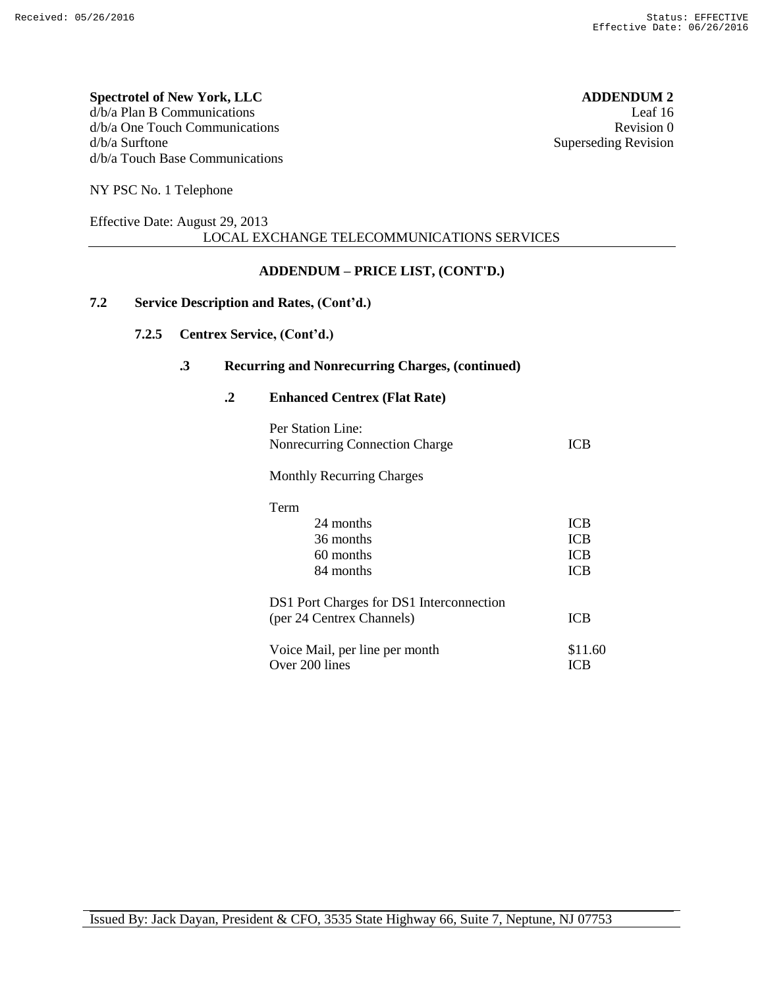#### **Spectrotel of New York, LLC ADDENDUM 2** d/b/a Plan B Communications Leaf 16 d/b/a One Touch Communications **Revision 0** and the set of the set of the set of the set of the set of the set of the set of the set of the set of the set of the set of the set of the set of the set of the set of the set o d/b/a Surftone Superseding Revision d/b/a Touch Base Communications

NY PSC No. 1 Telephone

#### Effective Date: August 29, 2013 LOCAL EXCHANGE TELECOMMUNICATIONS SERVICES

### **ADDENDUM – PRICE LIST, (CONT'D.)**

### **7.2 Service Description and Rates, (Cont'd.)**

### **7.2.5 Centrex Service, (Cont'd.)**

#### **.3 Recurring and Nonrecurring Charges, (continued)**

**.2 Enhanced Centrex (Flat Rate)**

| Per Station Line:<br>Nonrecurring Connection Charge | <b>ICB</b> |
|-----------------------------------------------------|------------|
| <b>Monthly Recurring Charges</b>                    |            |
| Term                                                |            |
| 24 months                                           | ICB        |
| 36 months                                           | ICB        |
| 60 months                                           | <b>ICB</b> |
| 84 months                                           | <b>ICB</b> |
| DS1 Port Charges for DS1 Interconnection            |            |
| (per 24 Centrex Channels)                           | ICB        |
| Voice Mail, per line per month                      | \$11.60    |
| Over 200 lines                                      | ICB        |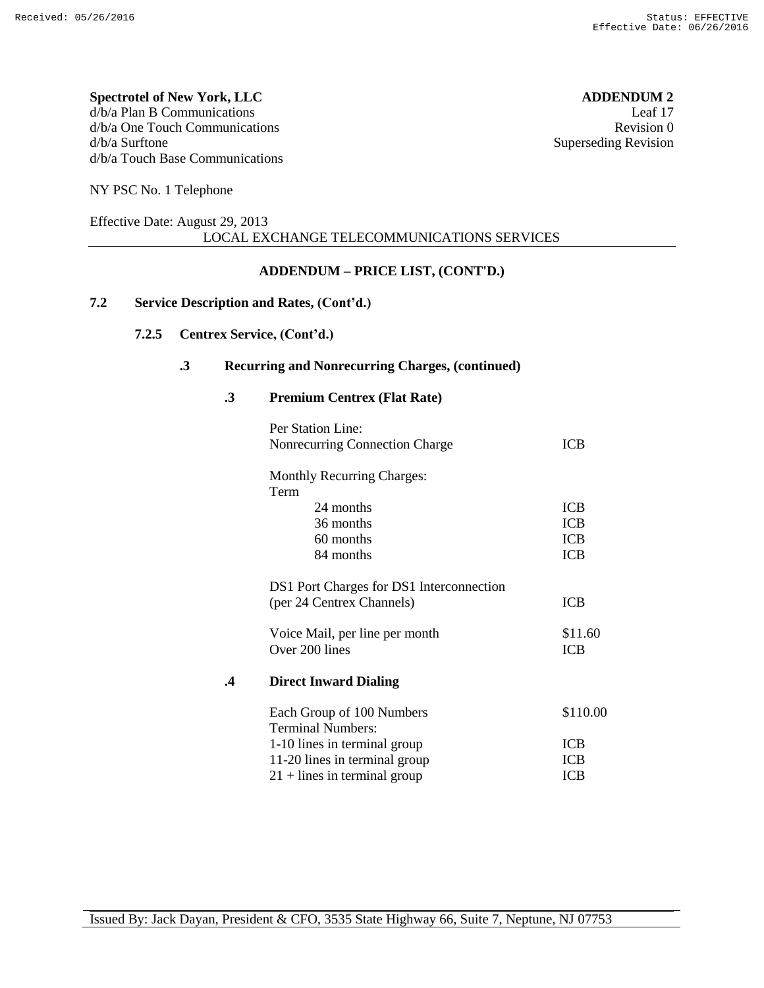#### **Spectrotel of New York, LLC ADDENDUM 2** d/b/a Plan B Communications Leaf 17 d/b/a One Touch Communications **Revision 0** and the set of the set of the set of the set of the set of the set of the set of the set of the set of the set of the set of the set of the set of the set of the set of the set o d/b/a Surftone Superseding Revision d/b/a Touch Base Communications

NY PSC No. 1 Telephone

#### Effective Date: August 29, 2013 LOCAL EXCHANGE TELECOMMUNICATIONS SERVICES

### **ADDENDUM – PRICE LIST, (CONT'D.)**

### **7.2 Service Description and Rates, (Cont'd.)**

### **7.2.5 Centrex Service, (Cont'd.)**

#### **.3 Recurring and Nonrecurring Charges, (continued)**

**.3 Premium Centrex (Flat Rate)**

|           | Per Station Line:<br>Nonrecurring Connection Charge                                             | <b>ICB</b>                                           |
|-----------|-------------------------------------------------------------------------------------------------|------------------------------------------------------|
|           | <b>Monthly Recurring Charges:</b><br>Term<br>24 months<br>36 months<br>60 months<br>84 months   | <b>ICB</b><br><b>ICB</b><br><b>ICB</b><br><b>ICB</b> |
|           | DS1 Port Charges for DS1 Interconnection<br>(per 24 Centrex Channels)                           | ICB                                                  |
|           | Voice Mail, per line per month<br>Over 200 lines                                                | \$11.60<br><b>ICB</b>                                |
| $\cdot$ 4 | <b>Direct Inward Dialing</b>                                                                    |                                                      |
|           | Each Group of 100 Numbers<br><b>Terminal Numbers:</b>                                           | \$110.00                                             |
|           | 1-10 lines in terminal group<br>11-20 lines in terminal group<br>$21 +$ lines in terminal group | <b>ICB</b><br><b>ICB</b><br><b>ICB</b>               |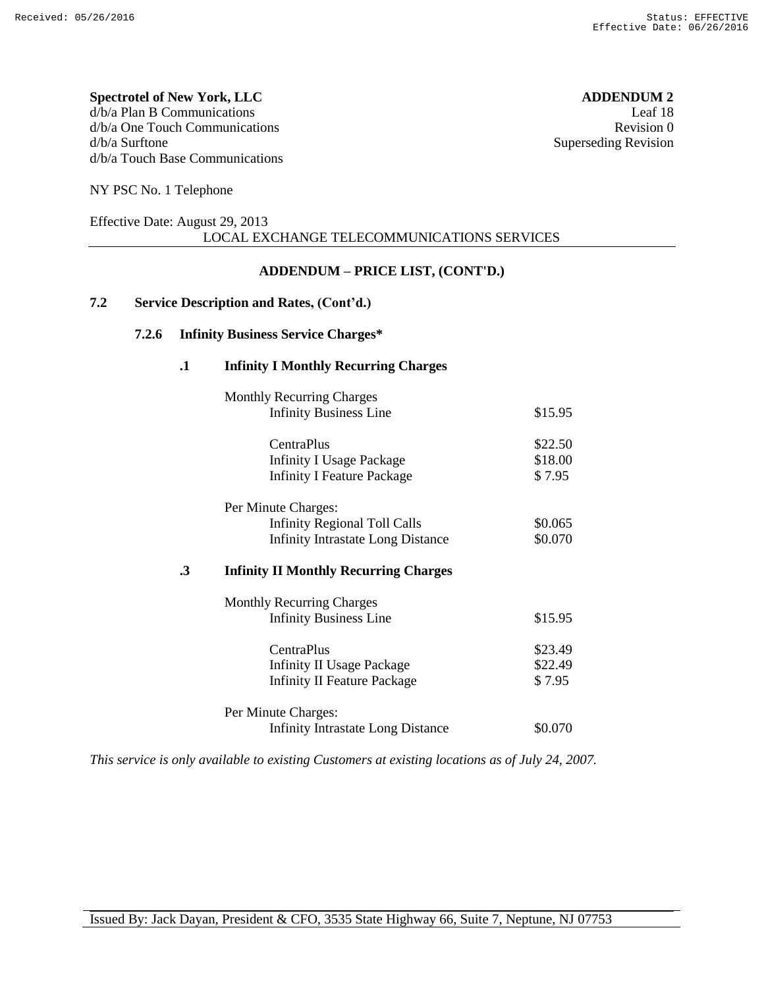**Spectrotel of New York, LLC ADDENDUM 2** d/b/a Plan B Communications Leaf 18 d/b/a One Touch Communications **Revision** 0 d/b/a Surftone Superseding Revision d/b/a Touch Base Communications

NY PSC No. 1 Telephone

#### Effective Date: August 29, 2013 LOCAL EXCHANGE TELECOMMUNICATIONS SERVICES

### **ADDENDUM – PRICE LIST, (CONT'D.)**

### **7.2 Service Description and Rates, (Cont'd.)**

#### **7.2.6 Infinity Business Service Charges\***

#### **.1 Infinity I Monthly Recurring Charges**

| <b>Monthly Recurring Charges</b>                   |         |
|----------------------------------------------------|---------|
| <b>Infinity Business Line</b>                      | \$15.95 |
| <b>CentraPlus</b>                                  | \$22.50 |
| <b>Infinity I Usage Package</b>                    | \$18.00 |
| <b>Infinity I Feature Package</b>                  | \$7.95  |
| Per Minute Charges:                                |         |
| <b>Infinity Regional Toll Calls</b>                | \$0.065 |
| <b>Infinity Intrastate Long Distance</b>           | \$0.070 |
| .3<br><b>Infinity II Monthly Recurring Charges</b> |         |
| <b>Monthly Recurring Charges</b>                   |         |
| <b>Infinity Business Line</b>                      | \$15.95 |
| <b>CentraPlus</b>                                  | \$23.49 |
| Infinity II Usage Package                          | \$22.49 |
| <b>Infinity II Feature Package</b>                 | \$7.95  |

Infinity Intrastate Long Distance \$0.070

*This service is only available to existing Customers at existing locations as of July 24, 2007.*

Per Minute Charges: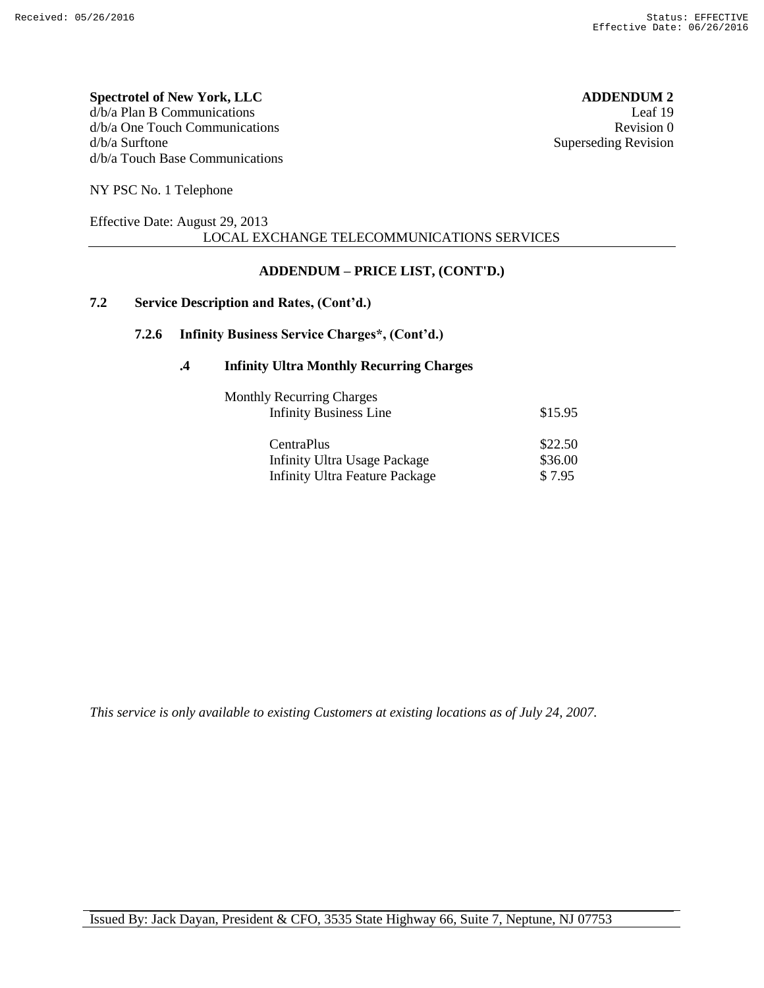#### **Spectrotel of New York, LLC ADDENDUM 2** d/b/a Plan B Communications Leaf 19 d/b/a One Touch Communications **Revision** 0 d/b/a Surftone Superseding Revision d/b/a Touch Base Communications

NY PSC No. 1 Telephone

#### Effective Date: August 29, 2013 LOCAL EXCHANGE TELECOMMUNICATIONS SERVICES

### **ADDENDUM – PRICE LIST, (CONT'D.)**

### **7.2 Service Description and Rates, (Cont'd.)**

#### **7.2.6 Infinity Business Service Charges\*, (Cont'd.)**

#### **.4 Infinity Ultra Monthly Recurring Charges**

| <b>Monthly Recurring Charges</b>      |         |
|---------------------------------------|---------|
| <b>Infinity Business Line</b>         | \$15.95 |
| CentraPlus                            | \$22.50 |
| <b>Infinity Ultra Usage Package</b>   | \$36.00 |
| <b>Infinity Ultra Feature Package</b> | \$7.95  |

*This service is only available to existing Customers at existing locations as of July 24, 2007.*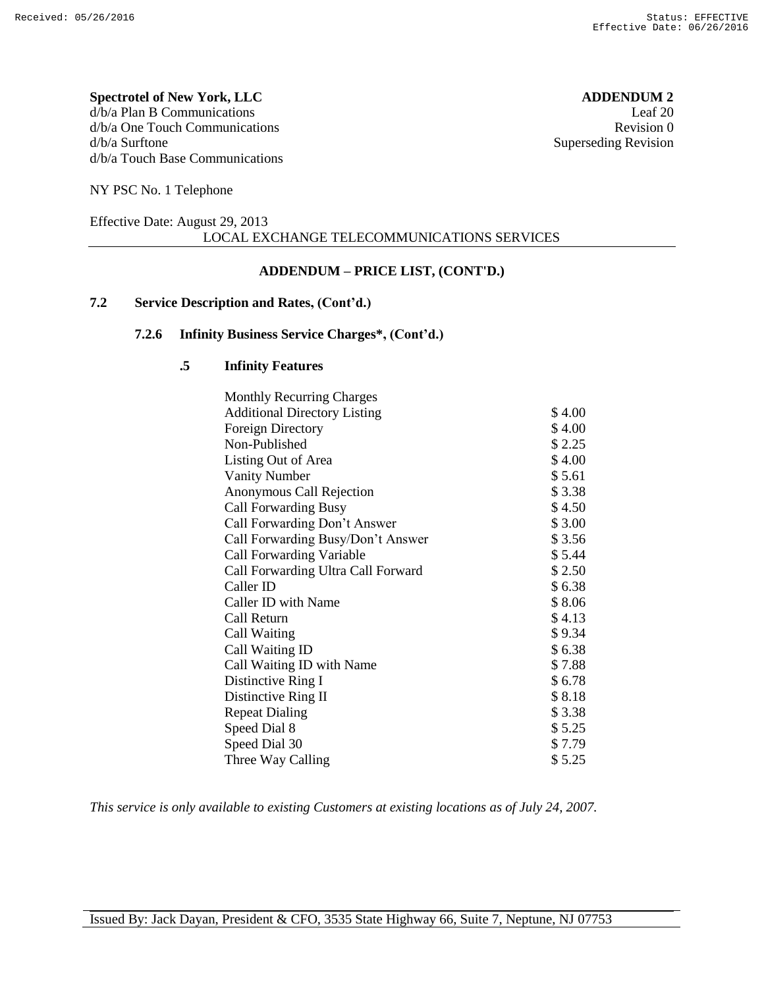#### **Spectrotel of New York, LLC ADDENDUM 2** d/b/a Plan B Communications Leaf 20 d/b/a One Touch Communications **Revision** 0 d/b/a Surftone Superseding Revision d/b/a Touch Base Communications

NY PSC No. 1 Telephone

#### Effective Date: August 29, 2013 LOCAL EXCHANGE TELECOMMUNICATIONS SERVICES

### **ADDENDUM – PRICE LIST, (CONT'D.)**

### **7.2 Service Description and Rates, (Cont'd.)**

#### **7.2.6 Infinity Business Service Charges\*, (Cont'd.)**

#### **.5 Infinity Features**

| <b>Monthly Recurring Charges</b>    |        |
|-------------------------------------|--------|
| <b>Additional Directory Listing</b> | \$4.00 |
| <b>Foreign Directory</b>            | \$4.00 |
| Non-Published                       | \$2.25 |
| Listing Out of Area                 | \$4.00 |
| <b>Vanity Number</b>                | \$5.61 |
| Anonymous Call Rejection            | \$3.38 |
| <b>Call Forwarding Busy</b>         | \$4.50 |
| Call Forwarding Don't Answer        | \$3.00 |
| Call Forwarding Busy/Don't Answer   | \$3.56 |
| <b>Call Forwarding Variable</b>     | \$5.44 |
| Call Forwarding Ultra Call Forward  | \$2.50 |
| Caller ID                           | \$6.38 |
| Caller ID with Name                 | \$8.06 |
| Call Return                         | \$4.13 |
| Call Waiting                        | \$9.34 |
| Call Waiting ID                     | \$6.38 |
| Call Waiting ID with Name           | \$7.88 |
| Distinctive Ring I                  | \$6.78 |
| Distinctive Ring II                 | \$8.18 |
| <b>Repeat Dialing</b>               | \$3.38 |
| Speed Dial 8                        | \$5.25 |
| Speed Dial 30                       | \$7.79 |
| Three Way Calling                   | \$5.25 |

*This service is only available to existing Customers at existing locations as of July 24, 2007.*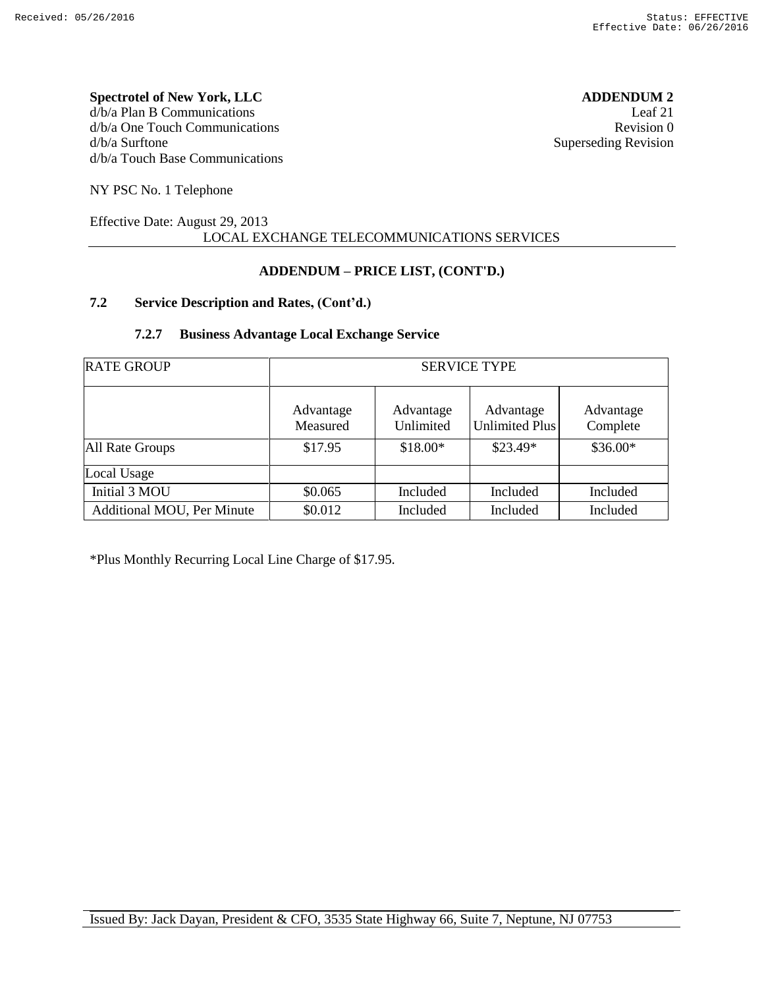#### **Spectrotel of New York, LLC ADDENDUM 2** d/b/a Plan B Communications Leaf 21 d/b/a One Touch Communications **Revision 0** and the set of the set of the set of the set of the set of the set of the set of the set of the set of the set of the set of the set of the set of the set of the set of the set o d/b/a Surftone Superseding Revision d/b/a Touch Base Communications

NY PSC No. 1 Telephone

#### Effective Date: August 29, 2013 LOCAL EXCHANGE TELECOMMUNICATIONS SERVICES

### **ADDENDUM – PRICE LIST, (CONT'D.)**

### **7.2 Service Description and Rates, (Cont'd.)**

#### **7.2.7 Business Advantage Local Exchange Service**

| <b>RATE GROUP</b>          | <b>SERVICE TYPE</b>   |                        |                             |                       |
|----------------------------|-----------------------|------------------------|-----------------------------|-----------------------|
|                            | Advantage<br>Measured | Advantage<br>Unlimited | Advantage<br>Unlimited Plus | Advantage<br>Complete |
| All Rate Groups            | \$17.95               | $$18.00*$              | $$23.49*$                   | $$36.00*$             |
| Local Usage                |                       |                        |                             |                       |
| Initial 3 MOU              | \$0.065               | Included               | Included                    | Included              |
| Additional MOU, Per Minute | \$0.012               | Included               | Included                    | Included              |

\*Plus Monthly Recurring Local Line Charge of \$17.95.